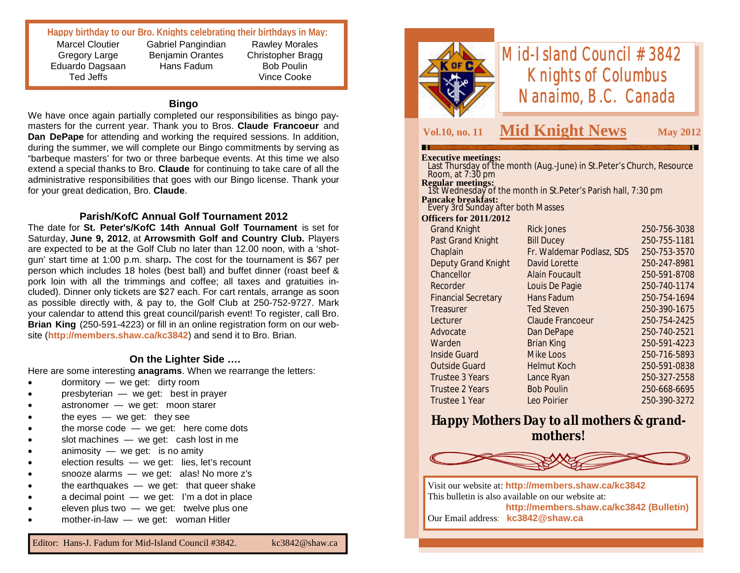#### **Happy birthday to our Bro. Knights celebrating their birthdays in May:**

Marcel Cloutier Gregory Large Eduardo Dagsaan Ted Jeffs

Gabriel Pangindian Benjamin Orantes Hans Fadum

Rawley Morales Christopher Bragg Bob Poulin Vince Cooke

#### **Bingo**

We have once again partially completed our responsibilities as bingo paymasters for the current year. Thank you to Bros. **Claude Francoeur** and **Dan DePape** for attending and working the required sessions. In addition, during the summer, we will complete our Bingo commitments by serving as "barbeque masters' for two or three barbeque events. At this time we also extend a special thanks to Bro. **Claude** for continuing to take care of all the administrative responsibilities that goes with our Bingo license. Thank your for your great dedication, Bro. **Claude**.

#### **Parish/KofC Annual Golf Tournament 2012**

The date for **St. Peter's/KofC 14th Annual Golf Tournament** is set for Saturday, **June 9, 2012**, at **Arrowsmith Golf and Country Club.** Players are expected to be at the Golf Club no later than 12.00 noon, with a 'shotgun' start time at 1:00 p.m. sharp**.** The cost for the tournament is \$67 per person which includes 18 holes (best ball) and buffet dinner (roast beef & pork loin with all the trimmings and coffee; all taxes and gratuities included). Dinner only tickets are \$27 each. For cart rentals, arrange as soon as possible directly with, & pay to, the Golf Club at 250-752-9727. Mark your calendar to attend this great council/parish event! To register, call Bro. **Brian King** (250-591-4223) or fill in an online registration form on our website (**http://members.shaw.ca/kc3842**) and send it to Bro. Brian.

#### **On the Lighter Side ….**

Here are some interesting **anagrams**. When we rearrange the letters:

- dormitory we get: dirty room
- presbyterian we get: best in prayer
- astronomer we get: moon starer
- the eyes  $-$  we get: they see
- the morse code we get: here come dots
- slot machines we get: cash lost in me
- animosity  $-$  we get: is no amity
- election results we get: lies, let's recount
- snooze alarms we get: alas! No more z's
- the earthquakes  $-$  we get: that queer shake
- a decimal point we get: I'm a dot in place
- eleven plus two we get: twelve plus one
- mother-in-law we get: woman Hitler





# *Mid-Island Council #3842 Knights of Columbus Nanaimo, B.C. Canada*

## **Vol.10, no. 11 Mid Knight News May 2012**

#### **Executive meetings:**

 Last Thursday of the month (Aug.-June) in St.Peter's Church, Resource Room, at 7:30 pm **Regular meetings:** 1st Wednesday of the month in St.Peter's Parish hall, 7:30 pm

**Pancake breakfast:** Every 3rd Sunday after both Masses

#### **Officers for 2011/2012**

| <b>Grand Knight</b>        | <b>Rick Jones</b>         | 250-756-3038 |
|----------------------------|---------------------------|--------------|
| <b>Past Grand Knight</b>   | <b>Bill Ducey</b>         | 250-755-1181 |
| Chaplain                   | Fr. Waldemar Podlasz, SDS | 250-753-3570 |
| <b>Deputy Grand Knight</b> | David Lorette             | 250-247-8981 |
| Chancellor                 | <b>Alain Foucault</b>     | 250-591-8708 |
| Recorder                   | Louis De Pagie            | 250-740-1174 |
| <b>Financial Secretary</b> | Hans Fadum                | 250-754-1694 |
| Treasurer                  | <b>Ted Steven</b>         | 250-390-1675 |
| Lecturer                   | Claude Francoeur          | 250-754-2425 |
| Advocate                   | Dan DePape                | 250-740-2521 |
| Warden                     | <b>Brian King</b>         | 250-591-4223 |
| <b>Inside Guard</b>        | Mike Loos                 | 250-716-5893 |
| <b>Outside Guard</b>       | <b>Helmut Koch</b>        | 250-591-0838 |
| Trustee 3 Years            | Lance Ryan                | 250-327-2558 |
| <b>Trustee 2 Years</b>     | <b>Bob Poulin</b>         | 250-668-6695 |
| Trustee 1 Year             | Leo Poirier               | 250-390-3272 |
|                            |                           |              |

# *Happy Mothers Day to all mothers & grandmothers!*



Visit our website at: **http://members.shaw.ca/kc3842** This bulletin is also available on our website at: **http://members.shaw.ca/kc3842 (Bulletin)** Our Email address: **kc3842@shaw.ca**